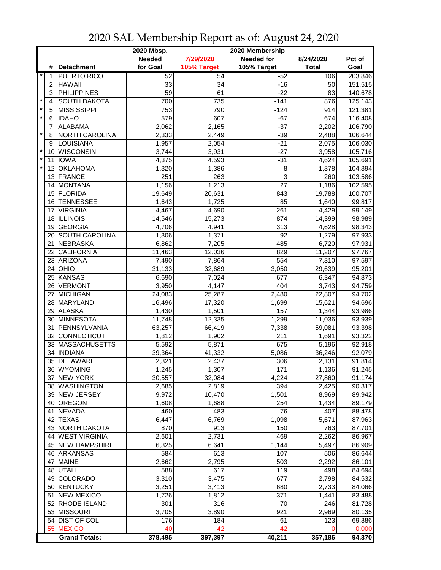|                                    |                       | 2020 Mbsp.<br>2020 Membership |             |                   |              |         |  |  |
|------------------------------------|-----------------------|-------------------------------|-------------|-------------------|--------------|---------|--|--|
|                                    |                       | <b>Needed</b>                 | 7/29/2020   | <b>Needed for</b> | 8/24/2020    | Pct of  |  |  |
| #                                  | <b>Detachment</b>     | for Goal                      | 105% Target | 105% Target       | <b>Total</b> | Goal    |  |  |
| 1                                  | <b>PUERTO RICO</b>    | 52                            | 54          | $-52$             | 106          | 203.846 |  |  |
| $\overline{c}$                     | <b>HAWAII</b>         | 33                            | 34          | $-16$             | 50           | 151.515 |  |  |
| 3                                  | <b>PHILIPPINES</b>    | $\overline{59}$               | 61          | $-22$             | 83           | 140.678 |  |  |
| $\star$<br>$\overline{\mathbf{4}}$ | <b>SOUTH DAKOTA</b>   | 700                           | 735         | $-141$            | 876          | 125.143 |  |  |
| $\star$<br>5                       | <b>MISSISSIPPI</b>    | 753                           | 790         | $-124$            | 914          | 121.381 |  |  |
| $\star$<br>6                       | <b>IDAHO</b>          | 579                           | 607         | $-67$             | 674          | 116.408 |  |  |
| 7                                  | <b>ALABAMA</b>        | 2,062                         | 2,165       | $-37$             | 2,202        | 106.790 |  |  |
| $\star$<br>8                       | NORTH CAROLINA        | 2,333                         | 2,449       | $-39$             | 2,488        | 106.644 |  |  |
| 9                                  | LOUISIANA             | 1,957                         | 2,054       | $-21$             | 2,075        | 106.030 |  |  |
| $\star$<br>10                      | WISCONSIN             | 3,744                         | 3,931       | $-27$             | 3,958        | 105.716 |  |  |
| $\star$                            | <b>IOWA</b>           |                               | 4,593       |                   |              | 105.691 |  |  |
| 11<br>$\star$                      |                       | 4,375                         |             | $-31$             | 4,624        |         |  |  |
| 12                                 | <b>OKLAHOMA</b>       | 1,320                         | 1,386       | 8                 | 1,378        | 104.394 |  |  |
| 13                                 | FRANCE                | 251                           | 263         | 3                 | 260          | 103.586 |  |  |
| 14                                 | MONTANA               | 1,156                         | 1,213       | 27                | 1,186        | 102.595 |  |  |
|                                    | 15 FLORIDA            | 19,649                        | 20,631      | 843               | 19,788       | 100.707 |  |  |
| 16                                 | <b>TENNESSEE</b>      | 1,643                         | 1,725       | 85                | 1,640        | 99.817  |  |  |
| 17                                 | <b>VIRGINIA</b>       | 4,467                         | 4,690       | 261               | 4,429        | 99.149  |  |  |
| 18                                 | <b>ILLINOIS</b>       | 14,546                        | 15,273      | 874               | 14,399       | 98.989  |  |  |
| 19                                 | <b>GEORGIA</b>        | 4,706                         | 4,941       | 313               | 4,628        | 98.343  |  |  |
| 20                                 | <b>SOUTH CAROLINA</b> | 1,306                         | 1,371       | 92                | 1,279        | 97.933  |  |  |
| 21                                 | NEBRASKA              | 6,862                         | 7,205       | 485               | 6,720        | 97.931  |  |  |
| 22                                 | <b>CALIFORNIA</b>     | 11,463                        | 12,036      | 829               | 11,207       | 97.767  |  |  |
|                                    | 23 ARIZONA            | 7,490                         | 7,864       | 554               | 7,310        | 97.597  |  |  |
|                                    | $24$ OHIO             | 31,133                        | 32,689      | 3,050             | 29,639       | 95.201  |  |  |
|                                    | 25 KANSAS             | 6,690                         | 7,024       | 677               | 6,347        | 94.873  |  |  |
| 26                                 | <b>VERMONT</b>        | 3,950                         | 4,147       | 404               | 3,743        | 94.759  |  |  |
| 27                                 | MICHIGAN              | 24,083                        | 25,287      | 2,480             | 22,807       | 94.702  |  |  |
|                                    | 28 MARYLAND           | 16,496                        | 17,320      | 1,699             | 15,621       | 94.696  |  |  |
|                                    | 29 ALASKA             | 1,430                         | 1,501       | 157               | 1,344        | 93.986  |  |  |
| 30                                 | MINNESOTA             | 11,748                        | 12,335      | 1,299             | 11,036       | 93.939  |  |  |
| 31                                 | PENNSYLVANIA          | 63,257                        | 66,419      | 7,338             | 59,081       | 93.398  |  |  |
| 32 <sup>2</sup>                    | CONNECTICUT           | 1,812                         | 1,902       | 211               | 1,691        | 93.322  |  |  |
|                                    | 33 MASSACHUSETTS      | 5,592                         | 5,871       | 675               | 5,196        | 92.918  |  |  |
| 34                                 | <b>INDIANA</b>        | 39,364                        | 41,332      | 5,086             | 36,246       | 92.079  |  |  |
| 35                                 | DELAWARE              | 2,321                         | 2,437       | 306               | 2,131        | 91.814  |  |  |
|                                    | 36   WYOMING          | 1,245                         | 1,307       | 171               | 1,136        | 91.245  |  |  |
|                                    | 37 NEW YORK           | 30,557                        | 32,084      | 4,224             | 27,860       | 91.174  |  |  |
|                                    | 38 WASHINGTON         | 2,685                         | 2,819       | 394               | 2,425        | 90.317  |  |  |
|                                    | 39 NEW JERSEY         | 9,972                         | 10,470      | 1,501             | 8,969        | 89.942  |  |  |
|                                    | 40 OREGON             | 1,608                         | 1,688       | 254               | 1,434        | 89.179  |  |  |
|                                    | 41 NEVADA             | 460                           | 483         | 76                | 407          | 88.478  |  |  |
|                                    | 42 TEXAS              | 6,447                         | 6,769       | 1,098             |              | 87.963  |  |  |
|                                    | 43 NORTH DAKOTA       |                               | 913         |                   | 5,671        |         |  |  |
|                                    |                       | 870                           |             | 150               | 763          | 87.701  |  |  |
|                                    | 44 WEST VIRGINIA      | 2,601                         | 2,731       | 469               | 2,262        | 86.967  |  |  |
|                                    | 45 NEW HAMPSHIRE      | 6,325                         | 6,641       | 1,144             | 5,497        | 86.909  |  |  |
|                                    | 46 ARKANSAS           | 584                           | 613         | 107               | 506          | 86.644  |  |  |
| 47                                 | <b>MAINE</b>          | 2,662                         | 2,795       | 503               | 2,292        | 86.101  |  |  |
|                                    | 48 UTAH               | 588                           | 617         | 119               | 498          | 84.694  |  |  |
|                                    | 49 COLORADO           | 3,310                         | 3,475       | 677               | 2,798        | 84.532  |  |  |
|                                    | 50 KENTUCKY           | 3,251                         | 3,413       | 680               | 2,733        | 84.066  |  |  |
|                                    | 51 NEW MEXICO         | 1,726                         | 1,812       | 371               | 1,441        | 83.488  |  |  |
|                                    | 52 RHODE ISLAND       | 301                           | 316         | 70                | 246          | 81.728  |  |  |
|                                    | 53 MISSOURI           | 3,705                         | 3,890       | 921               | 2,969        | 80.135  |  |  |
|                                    | 54 DIST OF COL        | 176                           | 184         | 61                | 123          | 69.886  |  |  |
|                                    | 55 MEXICO             | 40                            | 42          | 42                | 0            | 0.000   |  |  |
|                                    | <b>Grand Totals:</b>  | 378,495                       | 397,397     | 40,211            | 357,186      | 94.370  |  |  |

2020 SAL Membership Report as of: August 24, 2020